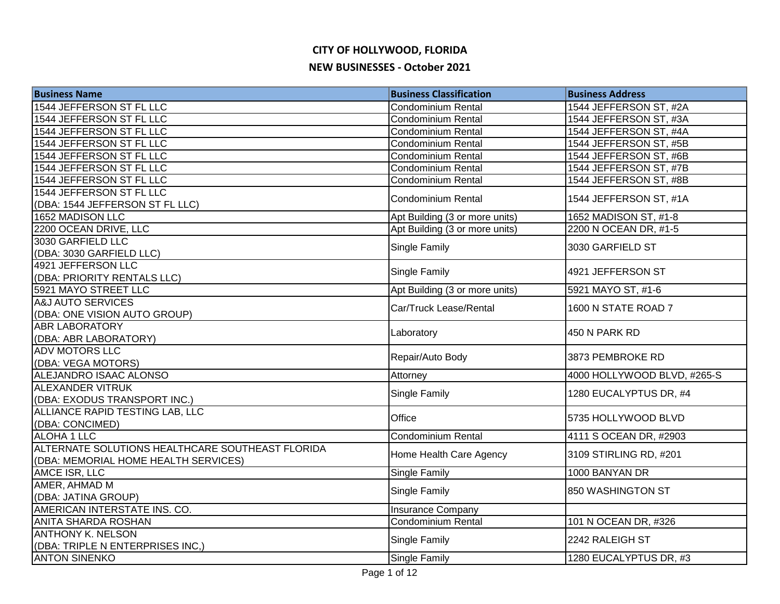| <b>Business Name</b>                             | <b>Business Classification</b> | <b>Business Address</b>     |
|--------------------------------------------------|--------------------------------|-----------------------------|
| 1544 JEFFERSON ST FL LLC                         | <b>Condominium Rental</b>      | 1544 JEFFERSON ST, #2A      |
| 1544 JEFFERSON ST FL LLC                         | <b>Condominium Rental</b>      | 1544 JEFFERSON ST, #3A      |
| 1544 JEFFERSON ST FL LLC                         | <b>Condominium Rental</b>      | 1544 JEFFERSON ST, #4A      |
| 1544 JEFFERSON ST FL LLC                         | Condominium Rental             | 1544 JEFFERSON ST, #5B      |
| 1544 JEFFERSON ST FL LLC                         | <b>Condominium Rental</b>      | 1544 JEFFERSON ST, #6B      |
| 1544 JEFFERSON ST FL LLC                         | Condominium Rental             | 1544 JEFFERSON ST, #7B      |
| 1544 JEFFERSON ST FL LLC                         | Condominium Rental             | 1544 JEFFERSON ST, #8B      |
| 1544 JEFFERSON ST FL LLC                         | <b>Condominium Rental</b>      | 1544 JEFFERSON ST, #1A      |
| (DBA: 1544 JEFFERSON ST FL LLC)                  |                                |                             |
| 1652 MADISON LLC                                 | Apt Building (3 or more units) | 1652 MADISON ST, #1-8       |
| 2200 OCEAN DRIVE, LLC                            | Apt Building (3 or more units) | 2200 N OCEAN DR, #1-5       |
| 3030 GARFIELD LLC                                | Single Family                  | 3030 GARFIELD ST            |
| (DBA: 3030 GARFIELD LLC)                         |                                |                             |
| 4921 JEFFERSON LLC                               | Single Family                  | 4921 JEFFERSON ST           |
| (DBA: PRIORITY RENTALS LLC)                      |                                |                             |
| 5921 MAYO STREET LLC                             | Apt Building (3 or more units) | 5921 MAYO ST, #1-6          |
| A&J AUTO SERVICES                                | Car/Truck Lease/Rental         | 1600 N STATE ROAD 7         |
| (DBA: ONE VISION AUTO GROUP)                     |                                |                             |
| <b>ABR LABORATORY</b>                            | Laboratory                     | 450 N PARK RD               |
| (DBA: ABR LABORATORY)                            |                                |                             |
| <b>ADV MOTORS LLC</b>                            | Repair/Auto Body               | 3873 PEMBROKE RD            |
| (DBA: VEGA MOTORS)                               |                                |                             |
| ALEJANDRO ISAAC ALONSO                           | Attorney                       | 4000 HOLLYWOOD BLVD, #265-S |
| <b>ALEXANDER VITRUK</b>                          | <b>Single Family</b>           | 1280 EUCALYPTUS DR, #4      |
| (DBA: EXODUS TRANSPORT INC.)                     |                                |                             |
| ALLIANCE RAPID TESTING LAB, LLC                  | Office                         | 5735 HOLLYWOOD BLVD         |
| (DBA: CONCIMED)                                  |                                |                             |
| ALOHA 1 LLC                                      | Condominium Rental             | 4111 S OCEAN DR, #2903      |
| ALTERNATE SOLUTIONS HEALTHCARE SOUTHEAST FLORIDA | Home Health Care Agency        | 3109 STIRLING RD, #201      |
| (DBA: MEMORIAL HOME HEALTH SERVICES)             |                                |                             |
| AMCE ISR, LLC                                    | <b>Single Family</b>           | 1000 BANYAN DR              |
| AMER, AHMAD M                                    | Single Family                  | 850 WASHINGTON ST           |
| (DBA: JATINA GROUP)                              |                                |                             |
| AMERICAN INTERSTATE INS. CO.                     | <b>Insurance Company</b>       |                             |
| <b>ANITA SHARDA ROSHAN</b>                       | <b>Condominium Rental</b>      | 101 N OCEAN DR, #326        |
| <b>ANTHONY K. NELSON</b>                         | Single Family                  | 2242 RALEIGH ST             |
| (DBA: TRIPLE N ENTERPRISES INC,)                 |                                |                             |
| <b>ANTON SINENKO</b>                             | Single Family                  | 1280 EUCALYPTUS DR, #3      |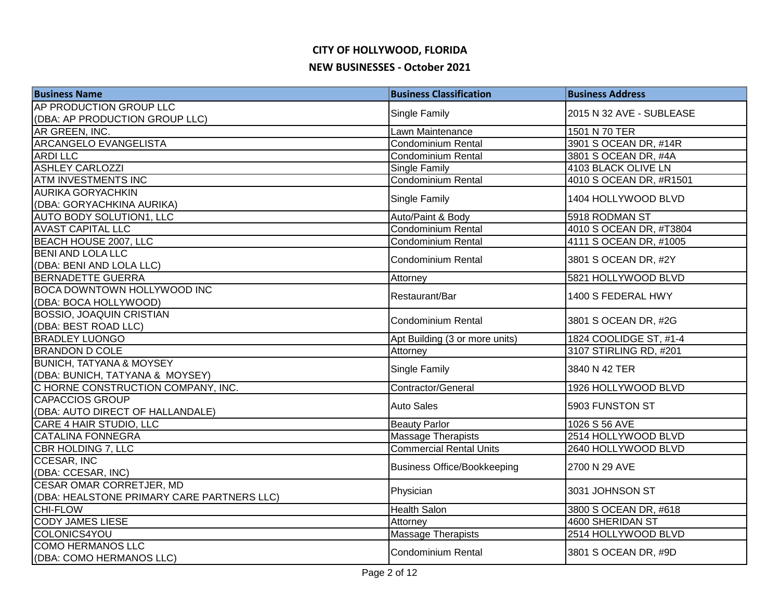| <b>Business Name</b>                       | <b>Business Classification</b>     | <b>Business Address</b>  |
|--------------------------------------------|------------------------------------|--------------------------|
| AP PRODUCTION GROUP LLC                    | Single Family                      | 2015 N 32 AVE - SUBLEASE |
| (DBA: AP PRODUCTION GROUP LLC)             |                                    |                          |
| AR GREEN, INC.                             | Lawn Maintenance                   | 1501 N 70 TER            |
| <b>ARCANGELO EVANGELISTA</b>               | <b>Condominium Rental</b>          | 3901 S OCEAN DR, #14R    |
| <b>ARDILLC</b>                             | Condominium Rental                 | 3801 S OCEAN DR, #4A     |
| <b>ASHLEY CARLOZZI</b>                     | <b>Single Family</b>               | 4103 BLACK OLIVE LN      |
| <b>ATM INVESTMENTS INC</b>                 | <b>Condominium Rental</b>          | 4010 S OCEAN DR, #R1501  |
| <b>AURIKA GORYACHKIN</b>                   | <b>Single Family</b>               | 1404 HOLLYWOOD BLVD      |
| (DBA: GORYACHKINA AURIKA)                  |                                    |                          |
| AUTO BODY SOLUTION1, LLC                   | Auto/Paint & Body                  | 5918 RODMAN ST           |
| <b>AVAST CAPITAL LLC</b>                   | Condominium Rental                 | 4010 S OCEAN DR, #T3804  |
| BEACH HOUSE 2007, LLC                      | <b>Condominium Rental</b>          | 4111 S OCEAN DR, #1005   |
| <b>BENI AND LOLA LLC</b>                   | Condominium Rental                 | 3801 S OCEAN DR, #2Y     |
| (DBA: BENI AND LOLA LLC)                   |                                    |                          |
| <b>BERNADETTE GUERRA</b>                   | Attorney                           | 5821 HOLLYWOOD BLVD      |
| <b>BOCA DOWNTOWN HOLLYWOOD INC</b>         | Restaurant/Bar                     | 1400 S FEDERAL HWY       |
| (DBA: BOCA HOLLYWOOD)                      |                                    |                          |
| <b>BOSSIO, JOAQUIN CRISTIAN</b>            | <b>Condominium Rental</b>          | 3801 S OCEAN DR, #2G     |
| (DBA: BEST ROAD LLC)                       |                                    |                          |
| <b>BRADLEY LUONGO</b>                      | Apt Building (3 or more units)     | 1824 COOLIDGE ST, #1-4   |
| <b>BRANDON D COLE</b>                      | Attorney                           | 3107 STIRLING RD, #201   |
| <b>BUNICH, TATYANA &amp; MOYSEY</b>        | <b>Single Family</b>               | 3840 N 42 TER            |
| (DBA: BUNICH, TATYANA & MOYSEY)            |                                    |                          |
| C HORNE CONSTRUCTION COMPANY, INC.         | Contractor/General                 | 1926 HOLLYWOOD BLVD      |
| <b>CAPACCIOS GROUP</b>                     | <b>Auto Sales</b>                  | 5903 FUNSTON ST          |
| (DBA: AUTO DIRECT OF HALLANDALE)           |                                    |                          |
| CARE 4 HAIR STUDIO, LLC                    | <b>Beauty Parlor</b>               | 1026 S 56 AVE            |
| CATALINA FONNEGRA                          | <b>Massage Therapists</b>          | 2514 HOLLYWOOD BLVD      |
| <b>CBR HOLDING 7, LLC</b>                  | <b>Commercial Rental Units</b>     | 2640 HOLLYWOOD BLVD      |
| <b>CCESAR, INC</b>                         | <b>Business Office/Bookkeeping</b> | 2700 N 29 AVE            |
| (DBA: CCESAR, INC)                         |                                    |                          |
| <b>CESAR OMAR CORRETJER, MD</b>            | Physician                          | 3031 JOHNSON ST          |
| (DBA: HEALSTONE PRIMARY CARE PARTNERS LLC) |                                    |                          |
| <b>CHI-FLOW</b>                            | <b>Health Salon</b>                | 3800 S OCEAN DR, #618    |
| <b>CODY JAMES LIESE</b>                    | Attorney                           | 4600 SHERIDAN ST         |
| COLONICS4YOU                               | <b>Massage Therapists</b>          | 2514 HOLLYWOOD BLVD      |
| <b>COMO HERMANOS LLC</b>                   | <b>Condominium Rental</b>          | 3801 S OCEAN DR, #9D     |
| (DBA: COMO HERMANOS LLC)                   |                                    |                          |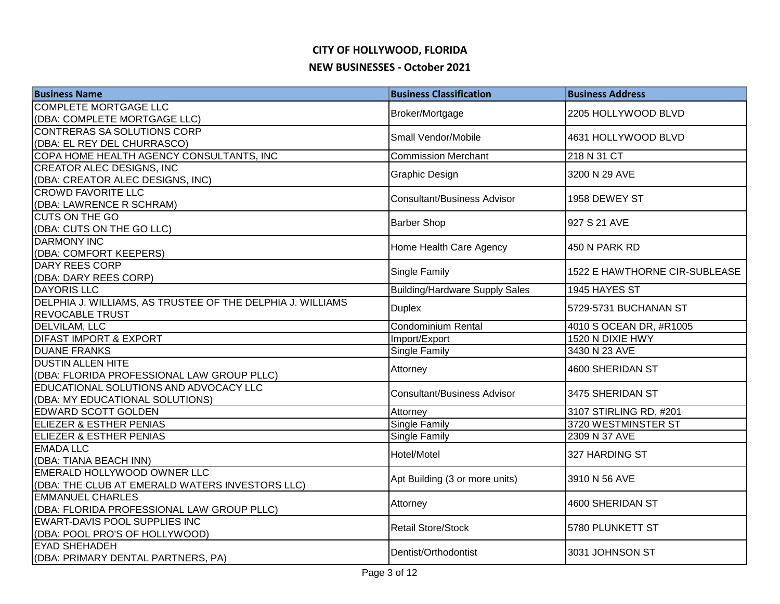| <b>Business Name</b>                                          | <b>Business Classification</b>        | <b>Business Address</b>              |
|---------------------------------------------------------------|---------------------------------------|--------------------------------------|
| <b>COMPLETE MORTGAGE LLC</b>                                  | Broker/Mortgage                       | 2205 HOLLYWOOD BLVD                  |
| (DBA: COMPLETE MORTGAGE LLC)                                  |                                       |                                      |
| CONTRERAS SA SOLUTIONS CORP                                   | Small Vendor/Mobile                   | 4631 HOLLYWOOD BLVD                  |
| (DBA: EL REY DEL CHURRASCO)                                   |                                       |                                      |
| COPA HOME HEALTH AGENCY CONSULTANTS, INC                      | <b>Commission Merchant</b>            | 218 N 31 CT                          |
| <b>CREATOR ALEC DESIGNS, INC</b>                              | Graphic Design                        | 3200 N 29 AVE                        |
| (DBA: CREATOR ALEC DESIGNS, INC)<br><b>CROWD FAVORITE LLC</b> |                                       |                                      |
| (DBA: LAWRENCE R SCHRAM)                                      | <b>Consultant/Business Advisor</b>    | 1958 DEWEY ST                        |
| <b>CUTS ON THE GO</b>                                         |                                       |                                      |
| (DBA: CUTS ON THE GO LLC)                                     | <b>Barber Shop</b>                    | 927 S 21 AVE                         |
| <b>DARMONY INC</b>                                            |                                       |                                      |
| (DBA: COMFORT KEEPERS)                                        | Home Health Care Agency               | 450 N PARK RD                        |
| DARY REES CORP                                                |                                       |                                      |
| (DBA: DARY REES CORP)                                         | <b>Single Family</b>                  | 1522 E HAWTHORNE CIR-SUBLEASE        |
| <b>DAYORIS LLC</b>                                            | <b>Building/Hardware Supply Sales</b> | 1945 HAYES ST                        |
| DELPHIA J. WILLIAMS, AS TRUSTEE OF THE DELPHIA J. WILLIAMS    | <b>Duplex</b>                         | 5729-5731 BUCHANAN ST                |
| <b>REVOCABLE TRUST</b>                                        |                                       |                                      |
| DELVILAM, LLC                                                 | Condominium Rental                    | 4010 S OCEAN DR, #R1005              |
| <b>DIFAST IMPORT &amp; EXPORT</b>                             | Import/Export                         | 1520 N DIXIE HWY                     |
| <b>DUANE FRANKS</b>                                           | <b>Single Family</b>                  | 3430 N 23 AVE                        |
| <b>DUSTIN ALLEN HITE</b>                                      | Attorney                              | 4600 SHERIDAN ST                     |
| (DBA: FLORIDA PROFESSIONAL LAW GROUP PLLC)                    |                                       |                                      |
| EDUCATIONAL SOLUTIONS AND ADVOCACY LLC                        | <b>Consultant/Business Advisor</b>    | 3475 SHERIDAN ST                     |
| (DBA: MY EDUCATIONAL SOLUTIONS)                               |                                       |                                      |
| <b>EDWARD SCOTT GOLDEN</b>                                    | Attorney                              | 3107 STIRLING RD, #201               |
| <b>ELIEZER &amp; ESTHER PENIAS</b><br>ELIEZER & ESTHER PENIAS | <b>Single Family</b>                  | 3720 WESTMINSTER ST<br>2309 N 37 AVE |
| <b>EMADA LLC</b>                                              | Single Family                         |                                      |
| (DBA: TIANA BEACH INN)                                        | Hotel/Motel                           | 327 HARDING ST                       |
| EMERALD HOLLYWOOD OWNER LLC                                   |                                       |                                      |
| (DBA: THE CLUB AT EMERALD WATERS INVESTORS LLC)               | Apt Building (3 or more units)        | 3910 N 56 AVE                        |
| <b>EMMANUEL CHARLES</b>                                       |                                       |                                      |
| (DBA: FLORIDA PROFESSIONAL LAW GROUP PLLC)                    | Attorney                              | 4600 SHERIDAN ST                     |
| EWART-DAVIS POOL SUPPLIES INC                                 |                                       |                                      |
| (DBA: POOL PRO'S OF HOLLYWOOD)                                | <b>Retail Store/Stock</b>             | 5780 PLUNKETT ST                     |
| <b>EYAD SHEHADEH</b>                                          | Dentist/Orthodontist                  | 3031 JOHNSON ST                      |
| (DBA: PRIMARY DENTAL PARTNERS, PA)                            |                                       |                                      |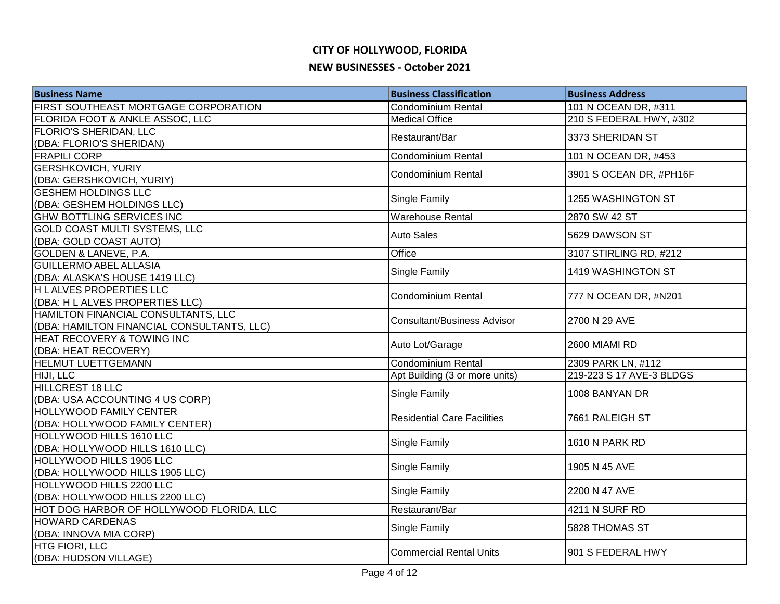| <b>Business Name</b>                                                   | <b>Business Classification</b>     | <b>Business Address</b>  |
|------------------------------------------------------------------------|------------------------------------|--------------------------|
| FIRST SOUTHEAST MORTGAGE CORPORATION                                   | Condominium Rental                 | 101 N OCEAN DR, #311     |
| FLORIDA FOOT & ANKLE ASSOC, LLC                                        | <b>Medical Office</b>              | 210 S FEDERAL HWY, #302  |
| FLORIO'S SHERIDAN, LLC                                                 | Restaurant/Bar                     | 3373 SHERIDAN ST         |
| (DBA: FLORIO'S SHERIDAN)                                               |                                    |                          |
| <b>FRAPILI CORP</b>                                                    | Condominium Rental                 | 101 N OCEAN DR, #453     |
| <b>GERSHKOVICH, YURIY</b>                                              | <b>Condominium Rental</b>          | 3901 S OCEAN DR, #PH16F  |
| (DBA: GERSHKOVICH, YURIY)                                              |                                    |                          |
| <b>GESHEM HOLDINGS LLC</b>                                             | Single Family                      | 1255 WASHINGTON ST       |
| (DBA: GESHEM HOLDINGS LLC)                                             |                                    |                          |
| <b>GHW BOTTLING SERVICES INC</b>                                       | <b>Warehouse Rental</b>            | 2870 SW 42 ST            |
| <b>GOLD COAST MULTI SYSTEMS, LLC</b>                                   | <b>Auto Sales</b>                  | 5629 DAWSON ST           |
| (DBA: GOLD COAST AUTO)                                                 |                                    |                          |
| GOLDEN & LANEVE, P.A.                                                  | Office                             | 3107 STIRLING RD, #212   |
| <b>GUILLERMO ABEL ALLASIA</b>                                          | Single Family                      | 1419 WASHINGTON ST       |
| (DBA: ALASKA'S HOUSE 1419 LLC)                                         |                                    |                          |
| <b>HLALVES PROPERTIES LLC</b>                                          | <b>Condominium Rental</b>          | 777 N OCEAN DR, #N201    |
| (DBA: H L ALVES PROPERTIES LLC)<br>HAMILTON FINANCIAL CONSULTANTS, LLC |                                    |                          |
| (DBA: HAMILTON FINANCIAL CONSULTANTS, LLC)                             | <b>Consultant/Business Advisor</b> | 2700 N 29 AVE            |
| <b>HEAT RECOVERY &amp; TOWING INC</b>                                  |                                    |                          |
| (DBA: HEAT RECOVERY)                                                   | Auto Lot/Garage                    | 2600 MIAMI RD            |
| HELMUT LUETTGEMANN                                                     | Condominium Rental                 | 2309 PARK LN, #112       |
| HIJI, LLC                                                              | Apt Building (3 or more units)     | 219-223 S 17 AVE-3 BLDGS |
| <b>HILLCREST 18 LLC</b>                                                |                                    |                          |
| (DBA: USA ACCOUNTING 4 US CORP)                                        | Single Family                      | 1008 BANYAN DR           |
| <b>HOLLYWOOD FAMILY CENTER</b>                                         |                                    |                          |
| (DBA: HOLLYWOOD FAMILY CENTER)                                         | <b>Residential Care Facilities</b> | 7661 RALEIGH ST          |
| HOLLYWOOD HILLS 1610 LLC                                               |                                    |                          |
| (DBA: HOLLYWOOD HILLS 1610 LLC)                                        | Single Family                      | 1610 N PARK RD           |
| HOLLYWOOD HILLS 1905 LLC                                               |                                    |                          |
| (DBA: HOLLYWOOD HILLS 1905 LLC)                                        | Single Family                      | 1905 N 45 AVE            |
| HOLLYWOOD HILLS 2200 LLC                                               |                                    | 2200 N 47 AVE            |
| (DBA: HOLLYWOOD HILLS 2200 LLC)                                        | Single Family                      |                          |
| HOT DOG HARBOR OF HOLLYWOOD FLORIDA, LLC                               | Restaurant/Bar                     | 4211 N SURF RD           |
| <b>HOWARD CARDENAS</b>                                                 | Single Family                      | 5828 THOMAS ST           |
| (DBA: INNOVA MIA CORP)                                                 |                                    |                          |
| <b>HTG FIORI, LLC</b>                                                  | <b>Commercial Rental Units</b>     | 901 S FEDERAL HWY        |
| (DBA: HUDSON VILLAGE)                                                  |                                    |                          |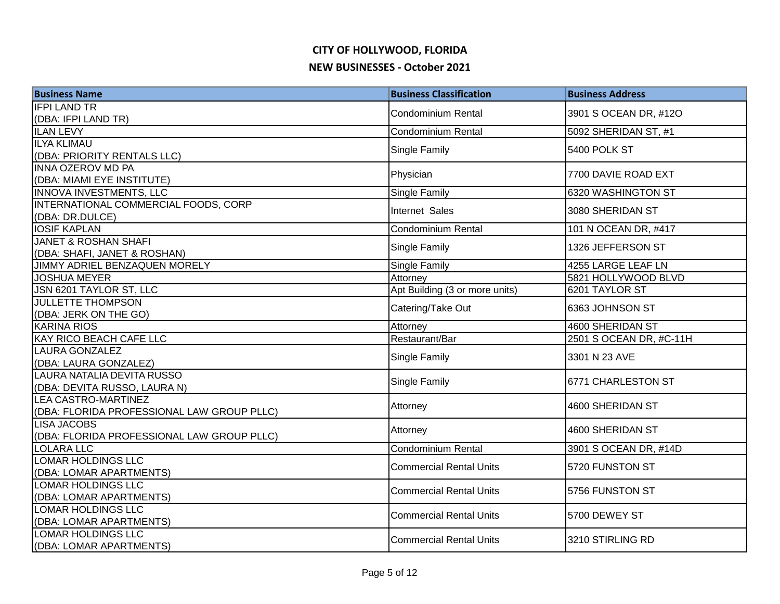| <b>Business Name</b>                       | <b>Business Classification</b> | <b>Business Address</b> |
|--------------------------------------------|--------------------------------|-------------------------|
| <b>IFPI LAND TR</b>                        | <b>Condominium Rental</b>      | 3901 S OCEAN DR, #12O   |
| (DBA: IFPI LAND TR)                        |                                |                         |
| <b>ILAN LEVY</b>                           | <b>Condominium Rental</b>      | 5092 SHERIDAN ST, #1    |
| <b>ILYA KLIMAU</b>                         | Single Family                  | 5400 POLK ST            |
| (DBA: PRIORITY RENTALS LLC)                |                                |                         |
| <b>INNA OZEROV MD PA</b>                   | Physician                      | 7700 DAVIE ROAD EXT     |
| (DBA: MIAMI EYE INSTITUTE)                 |                                |                         |
| INNOVA INVESTMENTS, LLC                    | Single Family                  | 6320 WASHINGTON ST      |
| INTERNATIONAL COMMERCIAL FOODS, CORP       | Internet Sales                 | 3080 SHERIDAN ST        |
| (DBA: DR.DULCE)                            |                                |                         |
| <b>IOSIF KAPLAN</b>                        | <b>Condominium Rental</b>      | 101 N OCEAN DR, #417    |
| <b>JANET &amp; ROSHAN SHAFI</b>            | Single Family                  | 1326 JEFFERSON ST       |
| (DBA: SHAFI, JANET & ROSHAN)               |                                |                         |
| JIMMY ADRIEL BENZAQUEN MORELY              | <b>Single Family</b>           | 4255 LARGE LEAF LN      |
| <b>JOSHUA MEYER</b>                        | Attorney                       | 5821 HOLLYWOOD BLVD     |
| JSN 6201 TAYLOR ST, LLC                    | Apt Building (3 or more units) | 6201 TAYLOR ST          |
| <b>JULLETTE THOMPSON</b>                   | Catering/Take Out              | 6363 JOHNSON ST         |
| (DBA: JERK ON THE GO)                      |                                |                         |
| <b>KARINA RIOS</b>                         | Attorney                       | 4600 SHERIDAN ST        |
| <b>KAY RICO BEACH CAFE LLC</b>             | Restaurant/Bar                 | 2501 S OCEAN DR, #C-11H |
| <b>LAURA GONZALEZ</b>                      | Single Family                  | 3301 N 23 AVE           |
| (DBA: LAURA GONZALEZ)                      |                                |                         |
| LAURA NATALIA DEVITA RUSSO                 | Single Family                  | 6771 CHARLESTON ST      |
| (DBA: DEVITA RUSSO, LAURA N)               |                                |                         |
| <b>LEA CASTRO-MARTINEZ</b>                 | Attorney                       | 4600 SHERIDAN ST        |
| (DBA: FLORIDA PROFESSIONAL LAW GROUP PLLC) |                                |                         |
| <b>LISA JACOBS</b>                         | Attorney                       | 4600 SHERIDAN ST        |
| (DBA: FLORIDA PROFESSIONAL LAW GROUP PLLC) |                                |                         |
| <b>LOLARA LLC</b>                          | <b>Condominium Rental</b>      | 3901 S OCEAN DR, #14D   |
| <b>LOMAR HOLDINGS LLC</b>                  | <b>Commercial Rental Units</b> | 5720 FUNSTON ST         |
| (DBA: LOMAR APARTMENTS)                    |                                |                         |
| <b>LOMAR HOLDINGS LLC</b>                  | <b>Commercial Rental Units</b> | 5756 FUNSTON ST         |
| (DBA: LOMAR APARTMENTS)                    |                                |                         |
| <b>LOMAR HOLDINGS LLC</b>                  | <b>Commercial Rental Units</b> | 5700 DEWEY ST           |
| (DBA: LOMAR APARTMENTS)                    |                                |                         |
| <b>LOMAR HOLDINGS LLC</b>                  | <b>Commercial Rental Units</b> | 3210 STIRLING RD        |
| (DBA: LOMAR APARTMENTS)                    |                                |                         |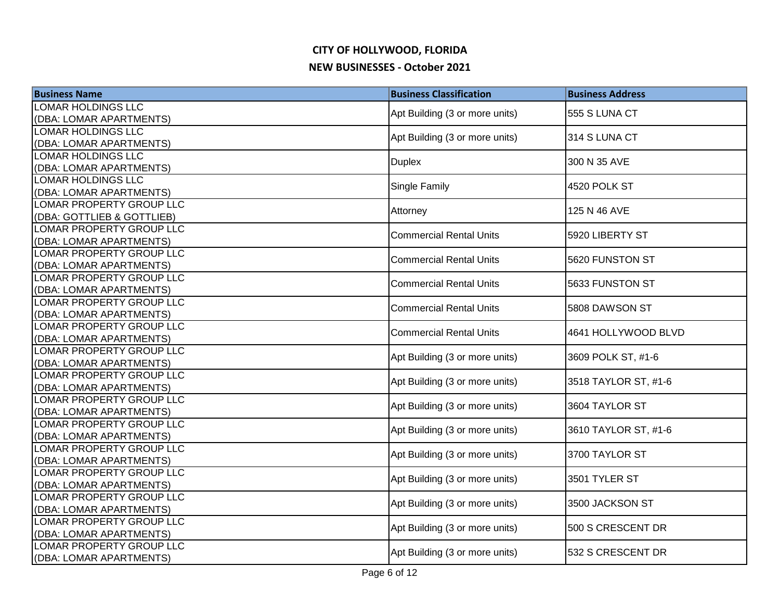| <b>Business Name</b>                                 | <b>Business Classification</b> | <b>Business Address</b> |
|------------------------------------------------------|--------------------------------|-------------------------|
| LOMAR HOLDINGS LLC                                   | Apt Building (3 or more units) | 555 S LUNA CT           |
| (DBA: LOMAR APARTMENTS)                              |                                |                         |
| <b>LOMAR HOLDINGS LLC</b>                            | Apt Building (3 or more units) | 314 S LUNA CT           |
| (DBA: LOMAR APARTMENTS)                              |                                |                         |
| <b>LOMAR HOLDINGS LLC</b>                            | <b>Duplex</b>                  | 300 N 35 AVE            |
| (DBA: LOMAR APARTMENTS)<br><b>LOMAR HOLDINGS LLC</b> |                                |                         |
| (DBA: LOMAR APARTMENTS)                              | <b>Single Family</b>           | 4520 POLK ST            |
| LOMAR PROPERTY GROUP LLC                             |                                |                         |
| (DBA: GOTTLIEB & GOTTLIEB)                           | Attorney                       | 125 N 46 AVE            |
| LOMAR PROPERTY GROUP LLC                             |                                |                         |
| (DBA: LOMAR APARTMENTS)                              | <b>Commercial Rental Units</b> | 5920 LIBERTY ST         |
| LOMAR PROPERTY GROUP LLC                             |                                |                         |
| (DBA: LOMAR APARTMENTS)                              | <b>Commercial Rental Units</b> | 5620 FUNSTON ST         |
| LOMAR PROPERTY GROUP LLC                             | <b>Commercial Rental Units</b> | 5633 FUNSTON ST         |
| (DBA: LOMAR APARTMENTS)                              |                                |                         |
| LOMAR PROPERTY GROUP LLC                             | <b>Commercial Rental Units</b> | 5808 DAWSON ST          |
| (DBA: LOMAR APARTMENTS)                              |                                |                         |
| LOMAR PROPERTY GROUP LLC                             | <b>Commercial Rental Units</b> | 4641 HOLLYWOOD BLVD     |
| (DBA: LOMAR APARTMENTS)                              |                                |                         |
| LOMAR PROPERTY GROUP LLC                             | Apt Building (3 or more units) | 3609 POLK ST, #1-6      |
| (DBA: LOMAR APARTMENTS)<br>LOMAR PROPERTY GROUP LLC  |                                |                         |
| (DBA: LOMAR APARTMENTS)                              | Apt Building (3 or more units) | 3518 TAYLOR ST, #1-6    |
| LOMAR PROPERTY GROUP LLC                             |                                |                         |
| (DBA: LOMAR APARTMENTS)                              | Apt Building (3 or more units) | 3604 TAYLOR ST          |
| LOMAR PROPERTY GROUP LLC                             |                                |                         |
| (DBA: LOMAR APARTMENTS)                              | Apt Building (3 or more units) | 3610 TAYLOR ST, #1-6    |
| LOMAR PROPERTY GROUP LLC                             |                                |                         |
| (DBA: LOMAR APARTMENTS)                              | Apt Building (3 or more units) | 3700 TAYLOR ST          |
| LOMAR PROPERTY GROUP LLC                             | Apt Building (3 or more units) | 3501 TYLER ST           |
| (DBA: LOMAR APARTMENTS)                              |                                |                         |
| LOMAR PROPERTY GROUP LLC                             | Apt Building (3 or more units) | 3500 JACKSON ST         |
| (DBA: LOMAR APARTMENTS)                              |                                |                         |
| LOMAR PROPERTY GROUP LLC                             | Apt Building (3 or more units) | 500 S CRESCENT DR       |
| (DBA: LOMAR APARTMENTS)                              |                                |                         |
| <b>LOMAR PROPERTY GROUP LLC</b>                      | Apt Building (3 or more units) | 532 S CRESCENT DR       |
| (DBA: LOMAR APARTMENTS)                              |                                |                         |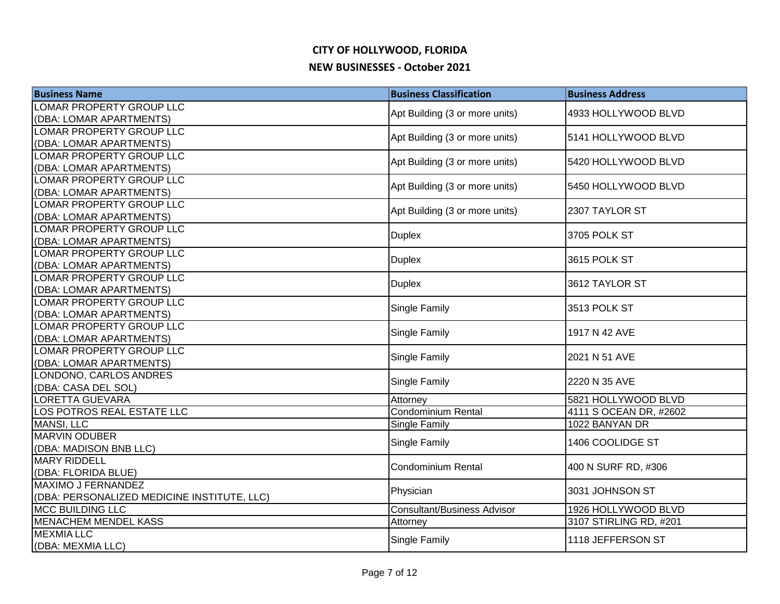| <b>Business Name</b>                                                   | <b>Business Classification</b>     | <b>Business Address</b>                       |
|------------------------------------------------------------------------|------------------------------------|-----------------------------------------------|
| LOMAR PROPERTY GROUP LLC                                               | Apt Building (3 or more units)     | 4933 HOLLYWOOD BLVD                           |
| (DBA: LOMAR APARTMENTS)                                                |                                    |                                               |
| LOMAR PROPERTY GROUP LLC                                               | Apt Building (3 or more units)     | 5141 HOLLYWOOD BLVD                           |
| (DBA: LOMAR APARTMENTS)                                                |                                    |                                               |
| LOMAR PROPERTY GROUP LLC                                               | Apt Building (3 or more units)     | 5420 HOLLYWOOD BLVD                           |
| (DBA: LOMAR APARTMENTS)                                                |                                    |                                               |
| LOMAR PROPERTY GROUP LLC                                               | Apt Building (3 or more units)     | 5450 HOLLYWOOD BLVD                           |
| (DBA: LOMAR APARTMENTS)                                                |                                    |                                               |
| LOMAR PROPERTY GROUP LLC                                               | Apt Building (3 or more units)     | 2307 TAYLOR ST                                |
| (DBA: LOMAR APARTMENTS)                                                |                                    |                                               |
| LOMAR PROPERTY GROUP LLC<br>(DBA: LOMAR APARTMENTS)                    | <b>Duplex</b>                      | 3705 POLK ST                                  |
| LOMAR PROPERTY GROUP LLC                                               |                                    |                                               |
| (DBA: LOMAR APARTMENTS)                                                | <b>Duplex</b>                      | 3615 POLK ST                                  |
| LOMAR PROPERTY GROUP LLC                                               |                                    |                                               |
| (DBA: LOMAR APARTMENTS)                                                | <b>Duplex</b>                      | 3612 TAYLOR ST                                |
| LOMAR PROPERTY GROUP LLC                                               |                                    |                                               |
| (DBA: LOMAR APARTMENTS)                                                | <b>Single Family</b>               | 3513 POLK ST                                  |
| LOMAR PROPERTY GROUP LLC                                               |                                    |                                               |
| (DBA: LOMAR APARTMENTS)                                                | Single Family                      | 1917 N 42 AVE                                 |
| LOMAR PROPERTY GROUP LLC                                               |                                    |                                               |
| (DBA: LOMAR APARTMENTS)                                                | Single Family                      | 2021 N 51 AVE                                 |
| LONDONO, CARLOS ANDRES                                                 | Single Family                      | 2220 N 35 AVE                                 |
| (DBA: CASA DEL SOL)                                                    |                                    |                                               |
| LORETTA GUEVARA                                                        | Attorney                           | 5821 HOLLYWOOD BLVD                           |
| LOS POTROS REAL ESTATE LLC                                             | Condominium Rental                 | 4111 S OCEAN DR, #2602                        |
| <b>MANSI, LLC</b>                                                      | Single Family                      | 1022 BANYAN DR                                |
| <b>MARVIN ODUBER</b>                                                   | Single Family                      | 1406 COOLIDGE ST                              |
| (DBA: MADISON BNB LLC)                                                 |                                    |                                               |
| <b>MARY RIDDELL</b>                                                    | <b>Condominium Rental</b>          | 400 N SURF RD, #306                           |
| (DBA: FLORIDA BLUE)                                                    |                                    |                                               |
| MAXIMO J FERNANDEZ                                                     | Physician                          | 3031 JOHNSON ST                               |
| (DBA: PERSONALIZED MEDICINE INSTITUTE, LLC)<br><b>MCC BUILDING LLC</b> | <b>Consultant/Business Advisor</b> |                                               |
| <b>MENACHEM MENDEL KASS</b>                                            |                                    | 1926 HOLLYWOOD BLVD<br>3107 STIRLING RD, #201 |
| <b>MEXMIA LLC</b>                                                      | Attorney                           |                                               |
| (DBA: MEXMIA LLC)                                                      | Single Family                      | 1118 JEFFERSON ST                             |
|                                                                        |                                    |                                               |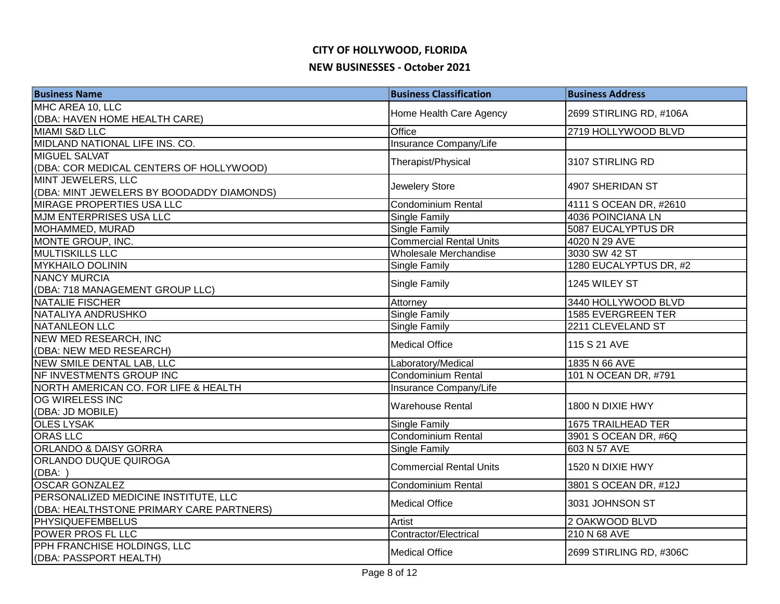| <b>Business Name</b>                      | <b>Business Classification</b> | <b>Business Address</b>   |
|-------------------------------------------|--------------------------------|---------------------------|
| MHC AREA 10, LLC                          |                                | 2699 STIRLING RD, #106A   |
| (DBA: HAVEN HOME HEALTH CARE)             | Home Health Care Agency        |                           |
| MIAMI S&D LLC                             | Office                         | 2719 HOLLYWOOD BLVD       |
| MIDLAND NATIONAL LIFE INS. CO.            | Insurance Company/Life         |                           |
| <b>MIGUEL SALVAT</b>                      | Therapist/Physical             | 3107 STIRLING RD          |
| (DBA: COR MEDICAL CENTERS OF HOLLYWOOD)   |                                |                           |
| <b>MINT JEWELERS, LLC</b>                 | Jewelery Store                 | 4907 SHERIDAN ST          |
| (DBA: MINT JEWELERS BY BOODADDY DIAMONDS) |                                |                           |
| <b>MIRAGE PROPERTIES USA LLC</b>          | Condominium Rental             | 4111 S OCEAN DR, #2610    |
| <b>MJM ENTERPRISES USA LLC</b>            | <b>Single Family</b>           | 4036 POINCIANA LN         |
| MOHAMMED, MURAD                           | Single Family                  | 5087 EUCALYPTUS DR        |
| MONTE GROUP, INC.                         | <b>Commercial Rental Units</b> | 4020 N 29 AVE             |
| <b>MULTISKILLS LLC</b>                    | Wholesale Merchandise          | 3030 SW 42 ST             |
| <b>MYKHAILO DOLININ</b>                   | <b>Single Family</b>           | 1280 EUCALYPTUS DR, #2    |
| <b>NANCY MURCIA</b>                       |                                | 1245 WILEY ST             |
| (DBA: 718 MANAGEMENT GROUP LLC)           | <b>Single Family</b>           |                           |
| NATALIE FISCHER                           | Attorney                       | 3440 HOLLYWOOD BLVD       |
| NATALIYA ANDRUSHKO                        | <b>Single Family</b>           | 1585 EVERGREEN TER        |
| NATANLEON LLC                             | <b>Single Family</b>           | 2211 CLEVELAND ST         |
| NEW MED RESEARCH, INC                     | <b>Medical Office</b>          | 115 S 21 AVE              |
| (DBA: NEW MED RESEARCH)                   |                                |                           |
| NEW SMILE DENTAL LAB, LLC                 | Laboratory/Medical             | 1835 N 66 AVE             |
| NF INVESTMENTS GROUP INC                  | Condominium Rental             | 101 N OCEAN DR, #791      |
| NORTH AMERICAN CO. FOR LIFE & HEALTH      | Insurance Company/Life         |                           |
| OG WIRELESS INC                           | <b>Warehouse Rental</b>        | 1800 N DIXIE HWY          |
| (DBA: JD MOBILE)                          |                                |                           |
| <b>OLES LYSAK</b>                         | <b>Single Family</b>           | <b>1675 TRAILHEAD TER</b> |
| <b>ORAS LLC</b>                           | Condominium Rental             | 3901 S OCEAN DR, #6Q      |
| <b>ORLANDO &amp; DAISY GORRA</b>          | <b>Single Family</b>           | 603 N 57 AVE              |
| ORLANDO DUQUE QUIROGA                     | <b>Commercial Rental Units</b> | 1520 N DIXIE HWY          |
| (DBA: )                                   |                                |                           |
| <b>OSCAR GONZALEZ</b>                     | Condominium Rental             | 3801 S OCEAN DR, #12J     |
| PERSONALIZED MEDICINE INSTITUTE, LLC      | <b>Medical Office</b>          | 3031 JOHNSON ST           |
| (DBA: HEALTHSTONE PRIMARY CARE PARTNERS)  |                                |                           |
| <b>PHYSIQUEFEMBELUS</b>                   | Artist                         | 2 OAKWOOD BLVD            |
| POWER PROS FL LLC                         | Contractor/Electrical          | 210 N 68 AVE              |
| PPH FRANCHISE HOLDINGS, LLC               | <b>Medical Office</b>          | 2699 STIRLING RD, #306C   |
| (DBA: PASSPORT HEALTH)                    |                                |                           |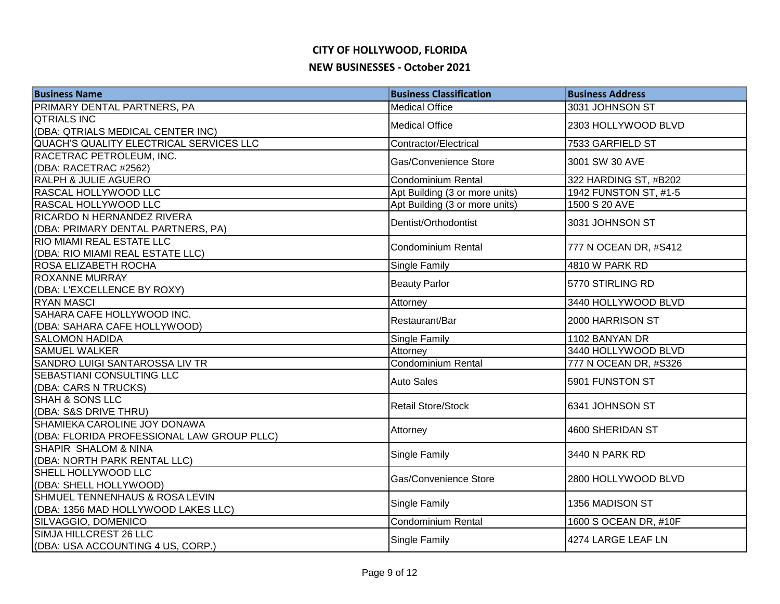| PRIMARY DENTAL PARTNERS, PA<br><b>Medical Office</b><br>3031 JOHNSON ST<br><b>QTRIALS INC</b><br><b>Medical Office</b><br>2303 HOLLYWOOD BLVD<br>(DBA: QTRIALS MEDICAL CENTER INC)<br>QUACH'S QUALITY ELECTRICAL SERVICES LLC<br>Contractor/Electrical<br>7533 GARFIELD ST<br>RACETRAC PETROLEUM, INC.<br>Gas/Convenience Store<br>3001 SW 30 AVE<br>(DBA: RACETRAC #2562)<br><b>RALPH &amp; JULIE AGUERO</b><br><b>Condominium Rental</b><br>322 HARDING ST, #B202<br>RASCAL HOLLYWOOD LLC<br>Apt Building (3 or more units)<br>1942 FUNSTON ST, #1-5<br>RASCAL HOLLYWOOD LLC<br>Apt Building (3 or more units)<br>1500 S 20 AVE<br>RICARDO N HERNANDEZ RIVERA<br>3031 JOHNSON ST<br>Dentist/Orthodontist<br>(DBA: PRIMARY DENTAL PARTNERS, PA)<br>RIO MIAMI REAL ESTATE LLC<br>Condominium Rental<br>777 N OCEAN DR, #S412<br>(DBA: RIO MIAMI REAL ESTATE LLC)<br>ROSA ELIZABETH ROCHA<br><b>Single Family</b><br>4810 W PARK RD<br><b>ROXANNE MURRAY</b><br><b>Beauty Parlor</b><br>5770 STIRLING RD<br>(DBA: L'EXCELLENCE BY ROXY)<br><b>RYAN MASCI</b><br>3440 HOLLYWOOD BLVD<br>Attorney<br>SAHARA CAFE HOLLYWOOD INC.<br>Restaurant/Bar<br>2000 HARRISON ST<br>(DBA: SAHARA CAFE HOLLYWOOD)<br><b>SALOMON HADIDA</b><br>1102 BANYAN DR<br><b>Single Family</b><br><b>SAMUEL WALKER</b><br>3440 HOLLYWOOD BLVD<br>Attorney<br>SANDRO LUIGI SANTAROSSA LIV TR<br>Condominium Rental<br>777 N OCEAN DR, #S326<br><b>SEBASTIANI CONSULTING LLC</b><br><b>Auto Sales</b><br>5901 FUNSTON ST<br>(DBA: CARS N TRUCKS)<br><b>SHAH &amp; SONS LLC</b><br><b>Retail Store/Stock</b><br>6341 JOHNSON ST<br>(DBA: S&S DRIVE THRU)<br>SHAMIEKA CAROLINE JOY DONAWA<br>4600 SHERIDAN ST<br>Attorney<br>(DBA: FLORIDA PROFESSIONAL LAW GROUP PLLC)<br>SHAPIR SHALOM & NINA<br>Single Family<br>3440 N PARK RD<br>(DBA: NORTH PARK RENTAL LLC)<br>SHELL HOLLYWOOD LLC<br>Gas/Convenience Store<br>2800 HOLLYWOOD BLVD<br>(DBA: SHELL HOLLYWOOD)<br>SHMUEL TENNENHAUS & ROSA LEVIN<br>Single Family<br>1356 MADISON ST<br>(DBA: 1356 MAD HOLLYWOOD LAKES LLC)<br>SILVAGGIO, DOMENICO<br>Condominium Rental<br>1600 S OCEAN DR, #10F<br>SIMJA HILLCREST 26 LLC<br>4274 LARGE LEAF LN<br><b>Single Family</b> | <b>Business Name</b>              | <b>Business Classification</b> | <b>Business Address</b> |
|---------------------------------------------------------------------------------------------------------------------------------------------------------------------------------------------------------------------------------------------------------------------------------------------------------------------------------------------------------------------------------------------------------------------------------------------------------------------------------------------------------------------------------------------------------------------------------------------------------------------------------------------------------------------------------------------------------------------------------------------------------------------------------------------------------------------------------------------------------------------------------------------------------------------------------------------------------------------------------------------------------------------------------------------------------------------------------------------------------------------------------------------------------------------------------------------------------------------------------------------------------------------------------------------------------------------------------------------------------------------------------------------------------------------------------------------------------------------------------------------------------------------------------------------------------------------------------------------------------------------------------------------------------------------------------------------------------------------------------------------------------------------------------------------------------------------------------------------------------------------------------------------------------------------------------------------------------------------------------------------------------------------------------------------------------------------------------------------------------------------------------------------------------------------------------------------------|-----------------------------------|--------------------------------|-------------------------|
|                                                                                                                                                                                                                                                                                                                                                                                                                                                                                                                                                                                                                                                                                                                                                                                                                                                                                                                                                                                                                                                                                                                                                                                                                                                                                                                                                                                                                                                                                                                                                                                                                                                                                                                                                                                                                                                                                                                                                                                                                                                                                                                                                                                                   |                                   |                                |                         |
|                                                                                                                                                                                                                                                                                                                                                                                                                                                                                                                                                                                                                                                                                                                                                                                                                                                                                                                                                                                                                                                                                                                                                                                                                                                                                                                                                                                                                                                                                                                                                                                                                                                                                                                                                                                                                                                                                                                                                                                                                                                                                                                                                                                                   |                                   |                                |                         |
|                                                                                                                                                                                                                                                                                                                                                                                                                                                                                                                                                                                                                                                                                                                                                                                                                                                                                                                                                                                                                                                                                                                                                                                                                                                                                                                                                                                                                                                                                                                                                                                                                                                                                                                                                                                                                                                                                                                                                                                                                                                                                                                                                                                                   |                                   |                                |                         |
|                                                                                                                                                                                                                                                                                                                                                                                                                                                                                                                                                                                                                                                                                                                                                                                                                                                                                                                                                                                                                                                                                                                                                                                                                                                                                                                                                                                                                                                                                                                                                                                                                                                                                                                                                                                                                                                                                                                                                                                                                                                                                                                                                                                                   |                                   |                                |                         |
|                                                                                                                                                                                                                                                                                                                                                                                                                                                                                                                                                                                                                                                                                                                                                                                                                                                                                                                                                                                                                                                                                                                                                                                                                                                                                                                                                                                                                                                                                                                                                                                                                                                                                                                                                                                                                                                                                                                                                                                                                                                                                                                                                                                                   |                                   |                                |                         |
|                                                                                                                                                                                                                                                                                                                                                                                                                                                                                                                                                                                                                                                                                                                                                                                                                                                                                                                                                                                                                                                                                                                                                                                                                                                                                                                                                                                                                                                                                                                                                                                                                                                                                                                                                                                                                                                                                                                                                                                                                                                                                                                                                                                                   |                                   |                                |                         |
|                                                                                                                                                                                                                                                                                                                                                                                                                                                                                                                                                                                                                                                                                                                                                                                                                                                                                                                                                                                                                                                                                                                                                                                                                                                                                                                                                                                                                                                                                                                                                                                                                                                                                                                                                                                                                                                                                                                                                                                                                                                                                                                                                                                                   |                                   |                                |                         |
|                                                                                                                                                                                                                                                                                                                                                                                                                                                                                                                                                                                                                                                                                                                                                                                                                                                                                                                                                                                                                                                                                                                                                                                                                                                                                                                                                                                                                                                                                                                                                                                                                                                                                                                                                                                                                                                                                                                                                                                                                                                                                                                                                                                                   |                                   |                                |                         |
|                                                                                                                                                                                                                                                                                                                                                                                                                                                                                                                                                                                                                                                                                                                                                                                                                                                                                                                                                                                                                                                                                                                                                                                                                                                                                                                                                                                                                                                                                                                                                                                                                                                                                                                                                                                                                                                                                                                                                                                                                                                                                                                                                                                                   |                                   |                                |                         |
|                                                                                                                                                                                                                                                                                                                                                                                                                                                                                                                                                                                                                                                                                                                                                                                                                                                                                                                                                                                                                                                                                                                                                                                                                                                                                                                                                                                                                                                                                                                                                                                                                                                                                                                                                                                                                                                                                                                                                                                                                                                                                                                                                                                                   |                                   |                                |                         |
|                                                                                                                                                                                                                                                                                                                                                                                                                                                                                                                                                                                                                                                                                                                                                                                                                                                                                                                                                                                                                                                                                                                                                                                                                                                                                                                                                                                                                                                                                                                                                                                                                                                                                                                                                                                                                                                                                                                                                                                                                                                                                                                                                                                                   |                                   |                                |                         |
|                                                                                                                                                                                                                                                                                                                                                                                                                                                                                                                                                                                                                                                                                                                                                                                                                                                                                                                                                                                                                                                                                                                                                                                                                                                                                                                                                                                                                                                                                                                                                                                                                                                                                                                                                                                                                                                                                                                                                                                                                                                                                                                                                                                                   |                                   |                                |                         |
|                                                                                                                                                                                                                                                                                                                                                                                                                                                                                                                                                                                                                                                                                                                                                                                                                                                                                                                                                                                                                                                                                                                                                                                                                                                                                                                                                                                                                                                                                                                                                                                                                                                                                                                                                                                                                                                                                                                                                                                                                                                                                                                                                                                                   |                                   |                                |                         |
|                                                                                                                                                                                                                                                                                                                                                                                                                                                                                                                                                                                                                                                                                                                                                                                                                                                                                                                                                                                                                                                                                                                                                                                                                                                                                                                                                                                                                                                                                                                                                                                                                                                                                                                                                                                                                                                                                                                                                                                                                                                                                                                                                                                                   |                                   |                                |                         |
|                                                                                                                                                                                                                                                                                                                                                                                                                                                                                                                                                                                                                                                                                                                                                                                                                                                                                                                                                                                                                                                                                                                                                                                                                                                                                                                                                                                                                                                                                                                                                                                                                                                                                                                                                                                                                                                                                                                                                                                                                                                                                                                                                                                                   |                                   |                                |                         |
|                                                                                                                                                                                                                                                                                                                                                                                                                                                                                                                                                                                                                                                                                                                                                                                                                                                                                                                                                                                                                                                                                                                                                                                                                                                                                                                                                                                                                                                                                                                                                                                                                                                                                                                                                                                                                                                                                                                                                                                                                                                                                                                                                                                                   |                                   |                                |                         |
|                                                                                                                                                                                                                                                                                                                                                                                                                                                                                                                                                                                                                                                                                                                                                                                                                                                                                                                                                                                                                                                                                                                                                                                                                                                                                                                                                                                                                                                                                                                                                                                                                                                                                                                                                                                                                                                                                                                                                                                                                                                                                                                                                                                                   |                                   |                                |                         |
|                                                                                                                                                                                                                                                                                                                                                                                                                                                                                                                                                                                                                                                                                                                                                                                                                                                                                                                                                                                                                                                                                                                                                                                                                                                                                                                                                                                                                                                                                                                                                                                                                                                                                                                                                                                                                                                                                                                                                                                                                                                                                                                                                                                                   |                                   |                                |                         |
|                                                                                                                                                                                                                                                                                                                                                                                                                                                                                                                                                                                                                                                                                                                                                                                                                                                                                                                                                                                                                                                                                                                                                                                                                                                                                                                                                                                                                                                                                                                                                                                                                                                                                                                                                                                                                                                                                                                                                                                                                                                                                                                                                                                                   |                                   |                                |                         |
|                                                                                                                                                                                                                                                                                                                                                                                                                                                                                                                                                                                                                                                                                                                                                                                                                                                                                                                                                                                                                                                                                                                                                                                                                                                                                                                                                                                                                                                                                                                                                                                                                                                                                                                                                                                                                                                                                                                                                                                                                                                                                                                                                                                                   |                                   |                                |                         |
|                                                                                                                                                                                                                                                                                                                                                                                                                                                                                                                                                                                                                                                                                                                                                                                                                                                                                                                                                                                                                                                                                                                                                                                                                                                                                                                                                                                                                                                                                                                                                                                                                                                                                                                                                                                                                                                                                                                                                                                                                                                                                                                                                                                                   |                                   |                                |                         |
|                                                                                                                                                                                                                                                                                                                                                                                                                                                                                                                                                                                                                                                                                                                                                                                                                                                                                                                                                                                                                                                                                                                                                                                                                                                                                                                                                                                                                                                                                                                                                                                                                                                                                                                                                                                                                                                                                                                                                                                                                                                                                                                                                                                                   |                                   |                                |                         |
|                                                                                                                                                                                                                                                                                                                                                                                                                                                                                                                                                                                                                                                                                                                                                                                                                                                                                                                                                                                                                                                                                                                                                                                                                                                                                                                                                                                                                                                                                                                                                                                                                                                                                                                                                                                                                                                                                                                                                                                                                                                                                                                                                                                                   |                                   |                                |                         |
|                                                                                                                                                                                                                                                                                                                                                                                                                                                                                                                                                                                                                                                                                                                                                                                                                                                                                                                                                                                                                                                                                                                                                                                                                                                                                                                                                                                                                                                                                                                                                                                                                                                                                                                                                                                                                                                                                                                                                                                                                                                                                                                                                                                                   |                                   |                                |                         |
|                                                                                                                                                                                                                                                                                                                                                                                                                                                                                                                                                                                                                                                                                                                                                                                                                                                                                                                                                                                                                                                                                                                                                                                                                                                                                                                                                                                                                                                                                                                                                                                                                                                                                                                                                                                                                                                                                                                                                                                                                                                                                                                                                                                                   |                                   |                                |                         |
|                                                                                                                                                                                                                                                                                                                                                                                                                                                                                                                                                                                                                                                                                                                                                                                                                                                                                                                                                                                                                                                                                                                                                                                                                                                                                                                                                                                                                                                                                                                                                                                                                                                                                                                                                                                                                                                                                                                                                                                                                                                                                                                                                                                                   |                                   |                                |                         |
|                                                                                                                                                                                                                                                                                                                                                                                                                                                                                                                                                                                                                                                                                                                                                                                                                                                                                                                                                                                                                                                                                                                                                                                                                                                                                                                                                                                                                                                                                                                                                                                                                                                                                                                                                                                                                                                                                                                                                                                                                                                                                                                                                                                                   |                                   |                                |                         |
|                                                                                                                                                                                                                                                                                                                                                                                                                                                                                                                                                                                                                                                                                                                                                                                                                                                                                                                                                                                                                                                                                                                                                                                                                                                                                                                                                                                                                                                                                                                                                                                                                                                                                                                                                                                                                                                                                                                                                                                                                                                                                                                                                                                                   |                                   |                                |                         |
|                                                                                                                                                                                                                                                                                                                                                                                                                                                                                                                                                                                                                                                                                                                                                                                                                                                                                                                                                                                                                                                                                                                                                                                                                                                                                                                                                                                                                                                                                                                                                                                                                                                                                                                                                                                                                                                                                                                                                                                                                                                                                                                                                                                                   |                                   |                                |                         |
|                                                                                                                                                                                                                                                                                                                                                                                                                                                                                                                                                                                                                                                                                                                                                                                                                                                                                                                                                                                                                                                                                                                                                                                                                                                                                                                                                                                                                                                                                                                                                                                                                                                                                                                                                                                                                                                                                                                                                                                                                                                                                                                                                                                                   |                                   |                                |                         |
|                                                                                                                                                                                                                                                                                                                                                                                                                                                                                                                                                                                                                                                                                                                                                                                                                                                                                                                                                                                                                                                                                                                                                                                                                                                                                                                                                                                                                                                                                                                                                                                                                                                                                                                                                                                                                                                                                                                                                                                                                                                                                                                                                                                                   |                                   |                                |                         |
|                                                                                                                                                                                                                                                                                                                                                                                                                                                                                                                                                                                                                                                                                                                                                                                                                                                                                                                                                                                                                                                                                                                                                                                                                                                                                                                                                                                                                                                                                                                                                                                                                                                                                                                                                                                                                                                                                                                                                                                                                                                                                                                                                                                                   |                                   |                                |                         |
|                                                                                                                                                                                                                                                                                                                                                                                                                                                                                                                                                                                                                                                                                                                                                                                                                                                                                                                                                                                                                                                                                                                                                                                                                                                                                                                                                                                                                                                                                                                                                                                                                                                                                                                                                                                                                                                                                                                                                                                                                                                                                                                                                                                                   |                                   |                                |                         |
|                                                                                                                                                                                                                                                                                                                                                                                                                                                                                                                                                                                                                                                                                                                                                                                                                                                                                                                                                                                                                                                                                                                                                                                                                                                                                                                                                                                                                                                                                                                                                                                                                                                                                                                                                                                                                                                                                                                                                                                                                                                                                                                                                                                                   |                                   |                                |                         |
|                                                                                                                                                                                                                                                                                                                                                                                                                                                                                                                                                                                                                                                                                                                                                                                                                                                                                                                                                                                                                                                                                                                                                                                                                                                                                                                                                                                                                                                                                                                                                                                                                                                                                                                                                                                                                                                                                                                                                                                                                                                                                                                                                                                                   |                                   |                                |                         |
|                                                                                                                                                                                                                                                                                                                                                                                                                                                                                                                                                                                                                                                                                                                                                                                                                                                                                                                                                                                                                                                                                                                                                                                                                                                                                                                                                                                                                                                                                                                                                                                                                                                                                                                                                                                                                                                                                                                                                                                                                                                                                                                                                                                                   | (DBA: USA ACCOUNTING 4 US, CORP.) |                                |                         |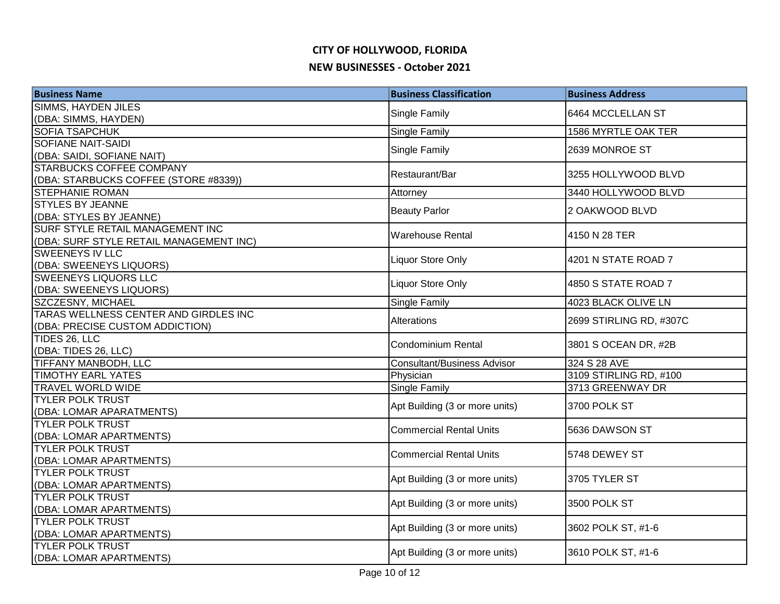| <b>Business Name</b>                                | <b>Business Classification</b>     | <b>Business Address</b> |
|-----------------------------------------------------|------------------------------------|-------------------------|
| <b>SIMMS, HAYDEN JILES</b>                          | Single Family                      | 6464 MCCLELLAN ST       |
| (DBA: SIMMS, HAYDEN)                                |                                    |                         |
| <b>SOFIA TSAPCHUK</b>                               | Single Family                      | 1586 MYRTLE OAK TER     |
| <b>SOFIANE NAIT-SAIDI</b>                           | Single Family                      | 2639 MONROE ST          |
| (DBA: SAIDI, SOFIANE NAIT)                          |                                    |                         |
| <b>STARBUCKS COFFEE COMPANY</b>                     | Restaurant/Bar                     | 3255 HOLLYWOOD BLVD     |
| (DBA: STARBUCKS COFFEE (STORE #8339))               |                                    |                         |
| <b>STEPHANIE ROMAN</b>                              | Attorney                           | 3440 HOLLYWOOD BLVD     |
| <b>STYLES BY JEANNE</b>                             | <b>Beauty Parlor</b>               | 2 OAKWOOD BLVD          |
| (DBA: STYLES BY JEANNE)                             |                                    |                         |
| SURF STYLE RETAIL MANAGEMENT INC                    | <b>Warehouse Rental</b>            | 4150 N 28 TER           |
| (DBA: SURF STYLE RETAIL MANAGEMENT INC)             |                                    |                         |
| <b>SWEENEYS IV LLC</b>                              | Liquor Store Only                  | 4201 N STATE ROAD 7     |
| (DBA: SWEENEYS LIQUORS)                             |                                    |                         |
| <b>SWEENEYS LIQUORS LLC</b>                         | Liquor Store Only                  | 4850 S STATE ROAD 7     |
| (DBA: SWEENEYS LIQUORS)                             |                                    |                         |
| SZCZESNY, MICHAEL                                   | Single Family                      | 4023 BLACK OLIVE LN     |
| TARAS WELLNESS CENTER AND GIRDLES INC               | Alterations                        | 2699 STIRLING RD, #307C |
| (DBA: PRECISE CUSTOM ADDICTION)                     |                                    |                         |
| TIDES 26, LLC                                       | <b>Condominium Rental</b>          | 3801 S OCEAN DR, #2B    |
| (DBA: TIDES 26, LLC)                                |                                    |                         |
| TIFFANY MANBODH, LLC                                | <b>Consultant/Business Advisor</b> | 324 S 28 AVE            |
| <b>TIMOTHY EARL YATES</b>                           | Physician                          | 3109 STIRLING RD, #100  |
| <b>TRAVEL WORLD WIDE</b><br><b>TYLER POLK TRUST</b> | <b>Single Family</b>               | 3713 GREENWAY DR        |
|                                                     | Apt Building (3 or more units)     | 3700 POLK ST            |
| (DBA: LOMAR APARATMENTS)<br><b>TYLER POLK TRUST</b> |                                    |                         |
| (DBA: LOMAR APARTMENTS)                             | <b>Commercial Rental Units</b>     | 5636 DAWSON ST          |
| <b>TYLER POLK TRUST</b>                             |                                    |                         |
| (DBA: LOMAR APARTMENTS)                             | <b>Commercial Rental Units</b>     | 5748 DEWEY ST           |
| <b>TYLER POLK TRUST</b>                             |                                    |                         |
| (DBA: LOMAR APARTMENTS)                             | Apt Building (3 or more units)     | 3705 TYLER ST           |
| <b>TYLER POLK TRUST</b>                             |                                    |                         |
| (DBA: LOMAR APARTMENTS)                             | Apt Building (3 or more units)     | 3500 POLK ST            |
| <b>TYLER POLK TRUST</b>                             |                                    |                         |
| (DBA: LOMAR APARTMENTS)                             | Apt Building (3 or more units)     | 3602 POLK ST, #1-6      |
| <b>TYLER POLK TRUST</b>                             |                                    |                         |
| (DBA: LOMAR APARTMENTS)                             | Apt Building (3 or more units)     | 3610 POLK ST, #1-6      |
|                                                     |                                    |                         |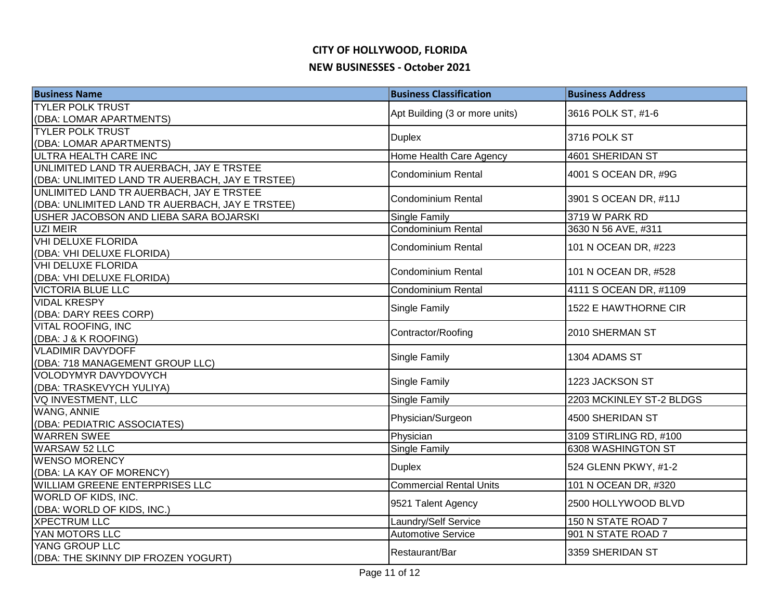| <b>Business Name</b>                                                                        | <b>Business Classification</b> | <b>Business Address</b>  |
|---------------------------------------------------------------------------------------------|--------------------------------|--------------------------|
| <b>TYLER POLK TRUST</b>                                                                     | Apt Building (3 or more units) | 3616 POLK ST, #1-6       |
| (DBA: LOMAR APARTMENTS)                                                                     |                                |                          |
| <b>TYLER POLK TRUST</b>                                                                     | <b>Duplex</b>                  | 3716 POLK ST             |
| (DBA: LOMAR APARTMENTS)                                                                     |                                |                          |
| <b>ULTRA HEALTH CARE INC</b>                                                                | Home Health Care Agency        | 4601 SHERIDAN ST         |
| UNLIMITED LAND TR AUERBACH, JAY E TRSTEE<br>(DBA: UNLIMITED LAND TR AUERBACH, JAY E TRSTEE) | <b>Condominium Rental</b>      | 4001 S OCEAN DR, #9G     |
| UNLIMITED LAND TR AUERBACH, JAY E TRSTEE<br>(DBA: UNLIMITED LAND TR AUERBACH, JAY E TRSTEE) | Condominium Rental             | 3901 S OCEAN DR, #11J    |
| USHER JACOBSON AND LIEBA SARA BOJARSKI                                                      | <b>Single Family</b>           | 3719 W PARK RD           |
| UZI MEIR                                                                                    | Condominium Rental             | 3630 N 56 AVE, #311      |
| <b>VHI DELUXE FLORIDA</b><br>(DBA: VHI DELUXE FLORIDA)                                      | <b>Condominium Rental</b>      | 101 N OCEAN DR, #223     |
| <b>VHI DELUXE FLORIDA</b><br>(DBA: VHI DELUXE FLORIDA)                                      | <b>Condominium Rental</b>      | 101 N OCEAN DR, #528     |
| <b>VICTORIA BLUE LLC</b>                                                                    | <b>Condominium Rental</b>      | 4111 S OCEAN DR, #1109   |
| <b>VIDAL KRESPY</b>                                                                         | <b>Single Family</b>           | 1522 E HAWTHORNE CIR     |
| (DBA: DARY REES CORP)                                                                       |                                |                          |
| <b>VITAL ROOFING, INC</b>                                                                   | Contractor/Roofing             | 2010 SHERMAN ST          |
| (DBA: J & K ROOFING)<br><b>VLADIMIR DAVYDOFF</b>                                            |                                |                          |
| (DBA: 718 MANAGEMENT GROUP LLC)                                                             | <b>Single Family</b>           | 1304 ADAMS ST            |
| VOLODYMYR DAVYDOVYCH                                                                        |                                |                          |
| (DBA: TRASKEVYCH YULIYA)                                                                    | Single Family                  | 1223 JACKSON ST          |
| <b>VQ INVESTMENT, LLC</b>                                                                   | Single Family                  | 2203 MCKINLEY ST-2 BLDGS |
| <b>WANG, ANNIE</b>                                                                          | Physician/Surgeon              | 4500 SHERIDAN ST         |
| (DBA: PEDIATRIC ASSOCIATES)                                                                 |                                |                          |
| <b>WARREN SWEE</b>                                                                          | Physician                      | 3109 STIRLING RD, #100   |
| <b>WARSAW 52 LLC</b>                                                                        | <b>Single Family</b>           | 6308 WASHINGTON ST       |
| <b>WENSO MORENCY</b>                                                                        | <b>Duplex</b>                  | 524 GLENN PKWY, #1-2     |
| (DBA: LA KAY OF MORENCY)                                                                    |                                |                          |
| <b>WILLIAM GREENE ENTERPRISES LLC</b>                                                       | <b>Commercial Rental Units</b> | 101 N OCEAN DR, #320     |
| WORLD OF KIDS, INC.<br>(DBA: WORLD OF KIDS, INC.)                                           | 9521 Talent Agency             | 2500 HOLLYWOOD BLVD      |
| <b>XPECTRUM LLC</b>                                                                         | Laundry/Self Service           | 150 N STATE ROAD 7       |
| YAN MOTORS LLC                                                                              | <b>Automotive Service</b>      | 901 N STATE ROAD 7       |
| YANG GROUP LLC                                                                              |                                |                          |
| (DBA: THE SKINNY DIP FROZEN YOGURT)                                                         | Restaurant/Bar                 | 3359 SHERIDAN ST         |